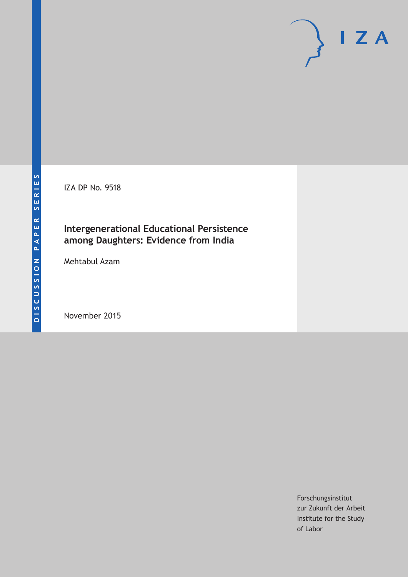IZA DP No. 9518

### **Intergenerational Educational Persistence among Daughters: Evidence from India**

Mehtabul Azam

November 2015

Forschungsinstitut zur Zukunft der Arbeit Institute for the Study of Labor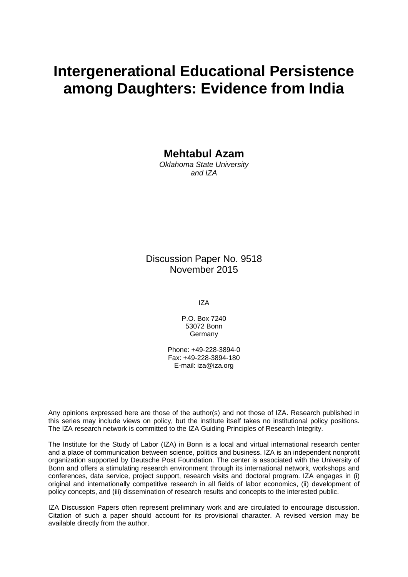# **Intergenerational Educational Persistence among Daughters: Evidence from India**

**Mehtabul Azam** 

*Oklahoma State University and IZA* 

Discussion Paper No. 9518 November 2015

IZA

P.O. Box 7240 53072 Bonn Germany

Phone: +49-228-3894-0 Fax: +49-228-3894-180 E-mail: iza@iza.org

Any opinions expressed here are those of the author(s) and not those of IZA. Research published in this series may include views on policy, but the institute itself takes no institutional policy positions. The IZA research network is committed to the IZA Guiding Principles of Research Integrity.

The Institute for the Study of Labor (IZA) in Bonn is a local and virtual international research center and a place of communication between science, politics and business. IZA is an independent nonprofit organization supported by Deutsche Post Foundation. The center is associated with the University of Bonn and offers a stimulating research environment through its international network, workshops and conferences, data service, project support, research visits and doctoral program. IZA engages in (i) original and internationally competitive research in all fields of labor economics, (ii) development of policy concepts, and (iii) dissemination of research results and concepts to the interested public.

IZA Discussion Papers often represent preliminary work and are circulated to encourage discussion. Citation of such a paper should account for its provisional character. A revised version may be available directly from the author.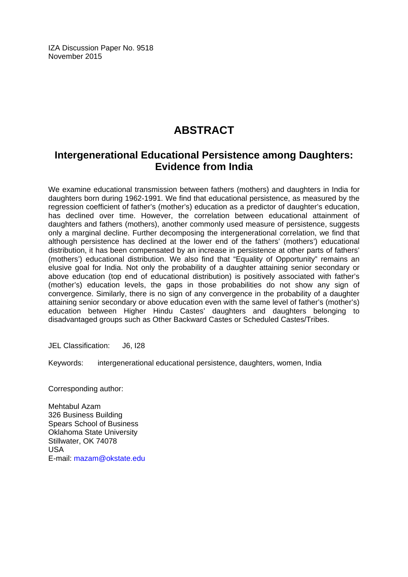IZA Discussion Paper No. 9518 November 2015

# **ABSTRACT**

### **Intergenerational Educational Persistence among Daughters: Evidence from India**

We examine educational transmission between fathers (mothers) and daughters in India for daughters born during 1962-1991. We find that educational persistence, as measured by the regression coefficient of father's (mother's) education as a predictor of daughter's education, has declined over time. However, the correlation between educational attainment of daughters and fathers (mothers), another commonly used measure of persistence, suggests only a marginal decline. Further decomposing the intergenerational correlation, we find that although persistence has declined at the lower end of the fathers' (mothers') educational distribution, it has been compensated by an increase in persistence at other parts of fathers' (mothers') educational distribution. We also find that "Equality of Opportunity" remains an elusive goal for India. Not only the probability of a daughter attaining senior secondary or above education (top end of educational distribution) is positively associated with father's (mother's) education levels, the gaps in those probabilities do not show any sign of convergence. Similarly, there is no sign of any convergence in the probability of a daughter attaining senior secondary or above education even with the same level of father's (mother's) education between Higher Hindu Castes' daughters and daughters belonging to disadvantaged groups such as Other Backward Castes or Scheduled Castes/Tribes.

JEL Classification: J6, I28

Keywords: intergenerational educational persistence, daughters, women, India

Corresponding author:

Mehtabul Azam 326 Business Building Spears School of Business Oklahoma State University Stillwater, OK 74078 USA E-mail: mazam@okstate.edu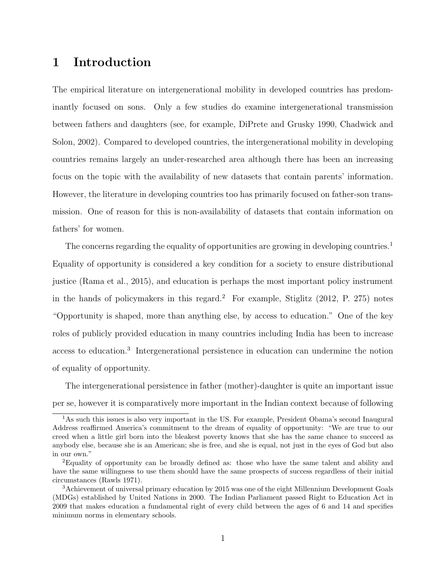### 1 Introduction

The empirical literature on intergenerational mobility in developed countries has predominantly focused on sons. Only a few studies do examine intergenerational transmission between fathers and daughters (see, for example, DiPrete and Grusky 1990, Chadwick and Solon, 2002). Compared to developed countries, the intergenerational mobility in developing countries remains largely an under-researched area although there has been an increasing focus on the topic with the availability of new datasets that contain parents' information. However, the literature in developing countries too has primarily focused on father-son transmission. One of reason for this is non-availability of datasets that contain information on fathers' for women.

The concerns regarding the equality of opportunities are growing in developing countries.<sup>1</sup> Equality of opportunity is considered a key condition for a society to ensure distributional justice (Rama et al., 2015), and education is perhaps the most important policy instrument in the hands of policymakers in this regard.<sup>2</sup> For example, Stiglitz  $(2012, P. 275)$  notes "Opportunity is shaped, more than anything else, by access to education." One of the key roles of publicly provided education in many countries including India has been to increase access to education.<sup>3</sup> Intergenerational persistence in education can undermine the notion of equality of opportunity.

The intergenerational persistence in father (mother)-daughter is quite an important issue per se, however it is comparatively more important in the Indian context because of following

<sup>&</sup>lt;sup>1</sup>As such this issues is also very important in the US. For example, President Obama's second Inaugural Address reaffirmed America's commitment to the dream of equality of opportunity: "We are true to our creed when a little girl born into the bleakest poverty knows that she has the same chance to succeed as anybody else, because she is an American; she is free, and she is equal, not just in the eyes of God but also in our own."

<sup>2</sup>Equality of opportunity can be broadly defined as: those who have the same talent and ability and have the same willingness to use them should have the same prospects of success regardless of their initial circumstances (Rawls 1971).

<sup>3</sup>Achievement of universal primary education by 2015 was one of the eight Millennium Development Goals (MDGs) established by United Nations in 2000. The Indian Parliament passed Right to Education Act in 2009 that makes education a fundamental right of every child between the ages of 6 and 14 and specifies minimum norms in elementary schools.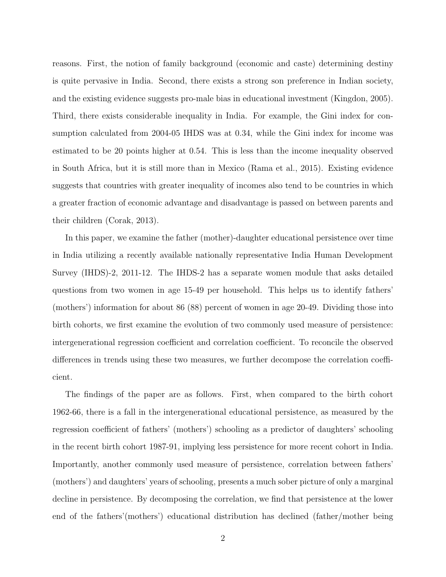reasons. First, the notion of family background (economic and caste) determining destiny is quite pervasive in India. Second, there exists a strong son preference in Indian society, and the existing evidence suggests pro-male bias in educational investment (Kingdon, 2005). Third, there exists considerable inequality in India. For example, the Gini index for consumption calculated from 2004-05 IHDS was at 0.34, while the Gini index for income was estimated to be 20 points higher at 0.54. This is less than the income inequality observed in South Africa, but it is still more than in Mexico (Rama et al., 2015). Existing evidence suggests that countries with greater inequality of incomes also tend to be countries in which a greater fraction of economic advantage and disadvantage is passed on between parents and their children (Corak, 2013).

In this paper, we examine the father (mother)-daughter educational persistence over time in India utilizing a recently available nationally representative India Human Development Survey (IHDS)-2, 2011-12. The IHDS-2 has a separate women module that asks detailed questions from two women in age 15-49 per household. This helps us to identify fathers' (mothers') information for about 86 (88) percent of women in age 20-49. Dividing those into birth cohorts, we first examine the evolution of two commonly used measure of persistence: intergenerational regression coefficient and correlation coefficient. To reconcile the observed differences in trends using these two measures, we further decompose the correlation coefficient.

The findings of the paper are as follows. First, when compared to the birth cohort 1962-66, there is a fall in the intergenerational educational persistence, as measured by the regression coefficient of fathers' (mothers') schooling as a predictor of daughters' schooling in the recent birth cohort 1987-91, implying less persistence for more recent cohort in India. Importantly, another commonly used measure of persistence, correlation between fathers' (mothers') and daughters' years of schooling, presents a much sober picture of only a marginal decline in persistence. By decomposing the correlation, we find that persistence at the lower end of the fathers'(mothers') educational distribution has declined (father/mother being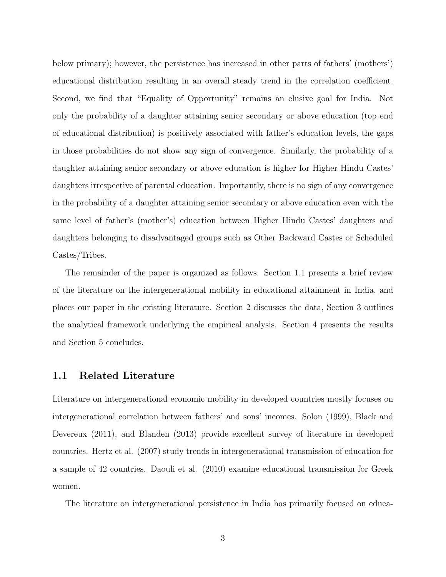below primary); however, the persistence has increased in other parts of fathers' (mothers') educational distribution resulting in an overall steady trend in the correlation coefficient. Second, we find that "Equality of Opportunity" remains an elusive goal for India. Not only the probability of a daughter attaining senior secondary or above education (top end of educational distribution) is positively associated with father's education levels, the gaps in those probabilities do not show any sign of convergence. Similarly, the probability of a daughter attaining senior secondary or above education is higher for Higher Hindu Castes' daughters irrespective of parental education. Importantly, there is no sign of any convergence in the probability of a daughter attaining senior secondary or above education even with the same level of father's (mother's) education between Higher Hindu Castes' daughters and daughters belonging to disadvantaged groups such as Other Backward Castes or Scheduled Castes/Tribes.

The remainder of the paper is organized as follows. Section 1.1 presents a brief review of the literature on the intergenerational mobility in educational attainment in India, and places our paper in the existing literature. Section 2 discusses the data, Section 3 outlines the analytical framework underlying the empirical analysis. Section 4 presents the results and Section 5 concludes.

#### 1.1 Related Literature

Literature on intergenerational economic mobility in developed countries mostly focuses on intergenerational correlation between fathers' and sons' incomes. Solon (1999), Black and Devereux (2011), and Blanden (2013) provide excellent survey of literature in developed countries. Hertz et al. (2007) study trends in intergenerational transmission of education for a sample of 42 countries. Daouli et al. (2010) examine educational transmission for Greek women.

The literature on intergenerational persistence in India has primarily focused on educa-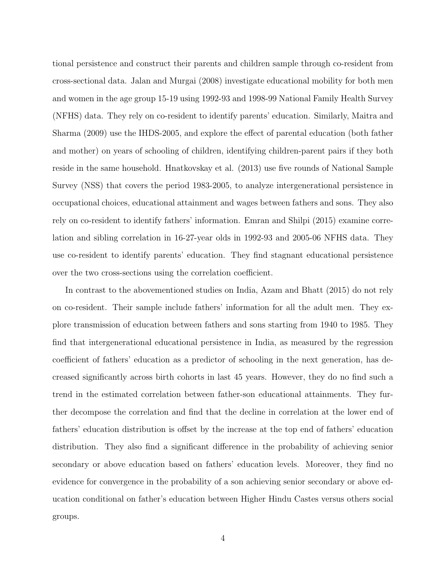tional persistence and construct their parents and children sample through co-resident from cross-sectional data. Jalan and Murgai (2008) investigate educational mobility for both men and women in the age group 15-19 using 1992-93 and 1998-99 National Family Health Survey (NFHS) data. They rely on co-resident to identify parents' education. Similarly, Maitra and Sharma (2009) use the IHDS-2005, and explore the effect of parental education (both father and mother) on years of schooling of children, identifying children-parent pairs if they both reside in the same household. Hnatkovskay et al. (2013) use five rounds of National Sample Survey (NSS) that covers the period 1983-2005, to analyze intergenerational persistence in occupational choices, educational attainment and wages between fathers and sons. They also rely on co-resident to identify fathers' information. Emran and Shilpi (2015) examine correlation and sibling correlation in 16-27-year olds in 1992-93 and 2005-06 NFHS data. They use co-resident to identify parents' education. They find stagnant educational persistence over the two cross-sections using the correlation coefficient.

In contrast to the abovementioned studies on India, Azam and Bhatt (2015) do not rely on co-resident. Their sample include fathers' information for all the adult men. They explore transmission of education between fathers and sons starting from 1940 to 1985. They find that intergenerational educational persistence in India, as measured by the regression coefficient of fathers' education as a predictor of schooling in the next generation, has decreased significantly across birth cohorts in last 45 years. However, they do no find such a trend in the estimated correlation between father-son educational attainments. They further decompose the correlation and find that the decline in correlation at the lower end of fathers' education distribution is offset by the increase at the top end of fathers' education distribution. They also find a significant difference in the probability of achieving senior secondary or above education based on fathers' education levels. Moreover, they find no evidence for convergence in the probability of a son achieving senior secondary or above education conditional on father's education between Higher Hindu Castes versus others social groups.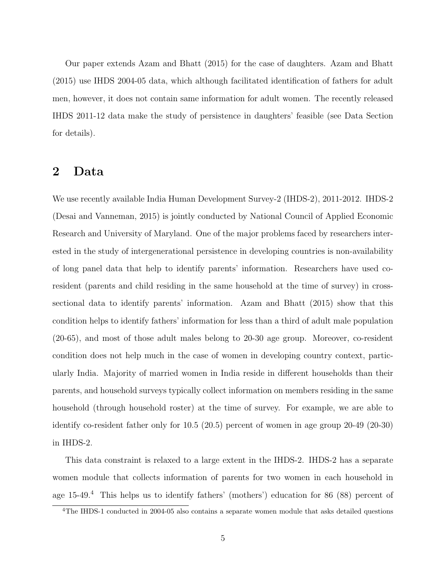Our paper extends Azam and Bhatt (2015) for the case of daughters. Azam and Bhatt (2015) use IHDS 2004-05 data, which although facilitated identification of fathers for adult men, however, it does not contain same information for adult women. The recently released IHDS 2011-12 data make the study of persistence in daughters' feasible (see Data Section for details).

### 2 Data

We use recently available India Human Development Survey-2 (IHDS-2), 2011-2012. IHDS-2 (Desai and Vanneman, 2015) is jointly conducted by National Council of Applied Economic Research and University of Maryland. One of the major problems faced by researchers interested in the study of intergenerational persistence in developing countries is non-availability of long panel data that help to identify parents' information. Researchers have used coresident (parents and child residing in the same household at the time of survey) in crosssectional data to identify parents' information. Azam and Bhatt (2015) show that this condition helps to identify fathers' information for less than a third of adult male population (20-65), and most of those adult males belong to 20-30 age group. Moreover, co-resident condition does not help much in the case of women in developing country context, particularly India. Majority of married women in India reside in different households than their parents, and household surveys typically collect information on members residing in the same household (through household roster) at the time of survey. For example, we are able to identify co-resident father only for 10.5 (20.5) percent of women in age group 20-49 (20-30) in IHDS-2.

This data constraint is relaxed to a large extent in the IHDS-2. IHDS-2 has a separate women module that collects information of parents for two women in each household in age  $15-49.^4$  This helps us to identify fathers' (mothers') education for 86 (88) percent of

<sup>&</sup>lt;sup>4</sup>The IHDS-1 conducted in 2004-05 also contains a separate women module that asks detailed questions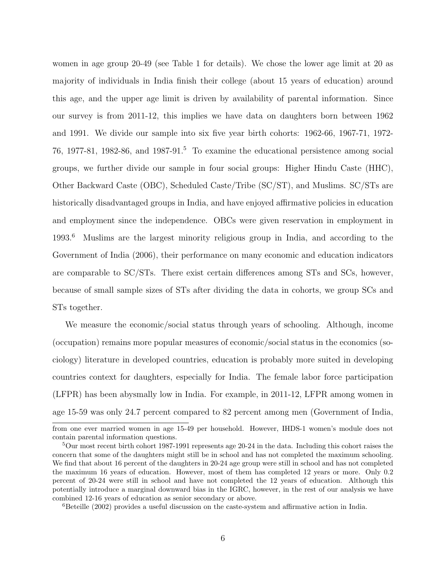women in age group 20-49 (see Table 1 for details). We chose the lower age limit at 20 as majority of individuals in India finish their college (about 15 years of education) around this age, and the upper age limit is driven by availability of parental information. Since our survey is from 2011-12, this implies we have data on daughters born between 1962 and 1991. We divide our sample into six five year birth cohorts: 1962-66, 1967-71, 1972- 76, 1977-81, 1982-86, and 1987-91.<sup>5</sup> To examine the educational persistence among social groups, we further divide our sample in four social groups: Higher Hindu Caste (HHC), Other Backward Caste (OBC), Scheduled Caste/Tribe (SC/ST), and Muslims. SC/STs are historically disadvantaged groups in India, and have enjoyed affirmative policies in education and employment since the independence. OBCs were given reservation in employment in 1993.<sup>6</sup> Muslims are the largest minority religious group in India, and according to the Government of India (2006), their performance on many economic and education indicators are comparable to SC/STs. There exist certain differences among STs and SCs, however, because of small sample sizes of STs after dividing the data in cohorts, we group SCs and STs together.

We measure the economic/social status through years of schooling. Although, income (occupation) remains more popular measures of economic/social status in the economics (sociology) literature in developed countries, education is probably more suited in developing countries context for daughters, especially for India. The female labor force participation (LFPR) has been abysmally low in India. For example, in 2011-12, LFPR among women in age 15-59 was only 24.7 percent compared to 82 percent among men (Government of India,

 ${}^{6}$ Beteille (2002) provides a useful discussion on the caste-system and affirmative action in India.

from one ever married women in age 15-49 per household. However, IHDS-1 women's module does not contain parental information questions.

 $5$ Our most recent birth cohort 1987-1991 represents age 20-24 in the data. Including this cohort raises the concern that some of the daughters might still be in school and has not completed the maximum schooling. We find that about 16 percent of the daughters in 20-24 age group were still in school and has not completed the maximum 16 years of education. However, most of them has completed 12 years or more. Only 0.2 percent of 20-24 were still in school and have not completed the 12 years of education. Although this potentially introduce a marginal downward bias in the IGRC, however, in the rest of our analysis we have combined 12-16 years of education as senior secondary or above.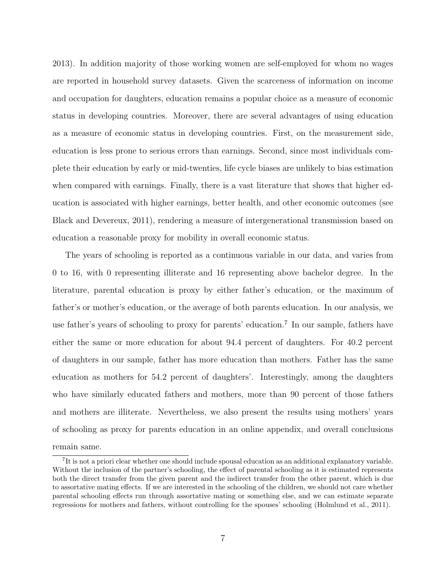2013). In addition majority of those working women are self-employed for whom no wages are reported in household survey datasets. Given the scarceness of information on income and occupation for daughters, education remains a popular choice as a measure of economic status in developing countries. Moreover, there are several advantages of using education as a measure of economic status in developing countries. First, on the measurement side, education is less prone to serious errors than earnings. Second, since most individuals complete their education by early or mid-twenties, life cycle biases are unlikely to bias estimation when compared with earnings. Finally, there is a vast literature that shows that higher education is associated with higher earnings, better health, and other economic outcomes (see Black and Devereux, 2011), rendering a measure of intergenerational transmission based on education a reasonable proxy for mobility in overall economic status.

The years of schooling is reported as a continuous variable in our data, and varies from 0 to 16, with 0 representing illiterate and 16 representing above bachelor degree. In the literature, parental education is proxy by either father's education, or the maximum of father's or mother's education, or the average of both parents education. In our analysis, we use father's years of schooling to proxy for parents' education.<sup>7</sup> In our sample, fathers have either the same or more education for about 94.4 percent of daughters. For 40.2 percent of daughters in our sample, father has more education than mothers. Father has the same education as mothers for 54.2 percent of daughters'. Interestingly, among the daughters who have similarly educated fathers and mothers, more than 90 percent of those fathers and mothers are illiterate. Nevertheless, we also present the results using mothers' years of schooling as proxy for parents education in an online appendix, and overall conclusions remain same.

<sup>&</sup>lt;sup>7</sup>It is not a priori clear whether one should include spousal education as an additional explanatory variable. Without the inclusion of the partner's schooling, the effect of parental schooling as it is estimated represents both the direct transfer from the given parent and the indirect transfer from the other parent, which is due to assortative mating effects. If we are interested in the schooling of the children, we should not care whether parental schooling effects run through assortative mating or something else, and we can estimate separate regressions for mothers and fathers, without controlling for the spouses' schooling (Holmlund et al., 2011).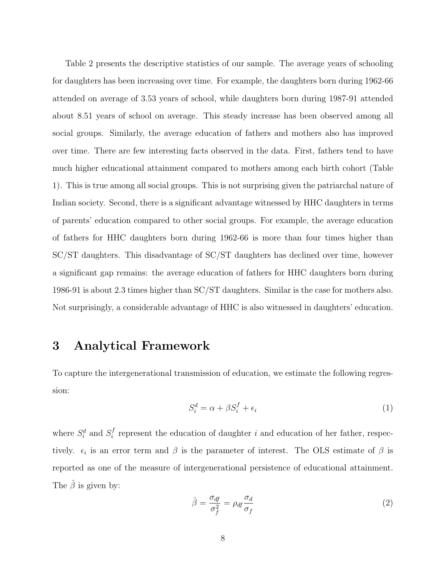Table 2 presents the descriptive statistics of our sample. The average years of schooling for daughters has been increasing over time. For example, the daughters born during 1962-66 attended on average of 3.53 years of school, while daughters born during 1987-91 attended about 8.51 years of school on average. This steady increase has been observed among all social groups. Similarly, the average education of fathers and mothers also has improved over time. There are few interesting facts observed in the data. First, fathers tend to have much higher educational attainment compared to mothers among each birth cohort (Table 1). This is true among all social groups. This is not surprising given the patriarchal nature of Indian society. Second, there is a significant advantage witnessed by HHC daughters in terms of parents' education compared to other social groups. For example, the average education of fathers for HHC daughters born during 1962-66 is more than four times higher than SC/ST daughters. This disadvantage of SC/ST daughters has declined over time, however a significant gap remains: the average education of fathers for HHC daughters born during 1986-91 is about 2.3 times higher than SC/ST daughters. Similar is the case for mothers also. Not surprisingly, a considerable advantage of HHC is also witnessed in daughters' education.

## 3 Analytical Framework

To capture the intergenerational transmission of education, we estimate the following regression:

$$
S_i^d = \alpha + \beta S_i^f + \epsilon_i \tag{1}
$$

where  $S_i^d$  and  $S_i^f$  $i$  represent the education of daughter i and education of her father, respectively.  $\epsilon_i$  is an error term and  $\beta$  is the parameter of interest. The OLS estimate of  $\beta$  is reported as one of the measure of intergenerational persistence of educational attainment. The  $\hat{\beta}$  is given by:

$$
\hat{\beta} = \frac{\sigma_{df}}{\sigma_f^2} = \rho_{df} \frac{\sigma_d}{\sigma_f} \tag{2}
$$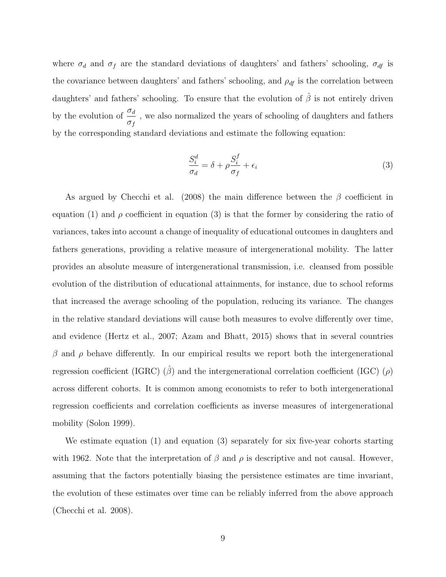where  $\sigma_d$  and  $\sigma_f$  are the standard deviations of daughters' and fathers' schooling,  $\sigma_{df}$  is the covariance between daughters' and fathers' schooling, and  $\rho_{df}$  is the correlation between daughters' and fathers' schooling. To ensure that the evolution of  $\hat{\beta}$  is not entirely driven by the evolution of  $\frac{\sigma_d}{\sigma_d}$  $\sigma_f$ , we also normalized the years of schooling of daughters and fathers by the corresponding standard deviations and estimate the following equation:

$$
\frac{S_i^d}{\sigma_d} = \delta + \rho \frac{S_i^f}{\sigma_f} + \epsilon_i \tag{3}
$$

As argued by Checchi et al. (2008) the main difference between the  $\beta$  coefficient in equation (1) and  $\rho$  coefficient in equation (3) is that the former by considering the ratio of variances, takes into account a change of inequality of educational outcomes in daughters and fathers generations, providing a relative measure of intergenerational mobility. The latter provides an absolute measure of intergenerational transmission, i.e. cleansed from possible evolution of the distribution of educational attainments, for instance, due to school reforms that increased the average schooling of the population, reducing its variance. The changes in the relative standard deviations will cause both measures to evolve differently over time, and evidence (Hertz et al., 2007; Azam and Bhatt, 2015) shows that in several countries  $β$  and  $ρ$  behave differently. In our empirical results we report both the intergenerational regression coefficient (IGRC)  $(\hat{\beta})$  and the intergenerational correlation coefficient (IGC)  $(\rho)$ across different cohorts. It is common among economists to refer to both intergenerational regression coefficients and correlation coefficients as inverse measures of intergenerational mobility (Solon 1999).

We estimate equation (1) and equation (3) separately for six five-year cohorts starting with 1962. Note that the interpretation of  $\beta$  and  $\rho$  is descriptive and not causal. However, assuming that the factors potentially biasing the persistence estimates are time invariant, the evolution of these estimates over time can be reliably inferred from the above approach (Checchi et al. 2008).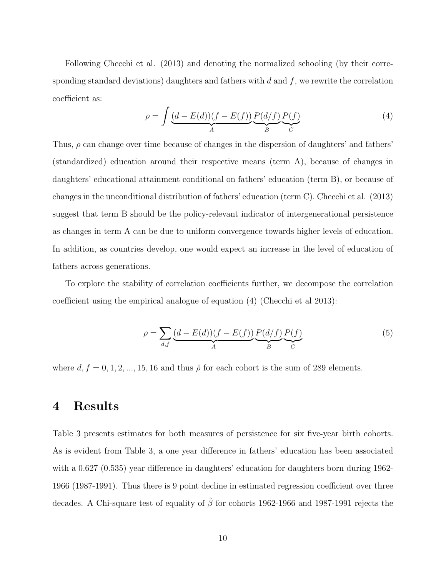Following Checchi et al. (2013) and denoting the normalized schooling (by their corresponding standard deviations) daughters and fathers with  $d$  and  $f$ , we rewrite the correlation coefficient as:

$$
\rho = \int \underbrace{(d - E(d))(f - E(f))}_{A} \underbrace{P(d/f)}_{B} \underbrace{P(f)}_{C} \tag{4}
$$

Thus,  $\rho$  can change over time because of changes in the dispersion of daughters' and fathers' (standardized) education around their respective means (term A), because of changes in daughters' educational attainment conditional on fathers' education (term B), or because of changes in the unconditional distribution of fathers' education (term C). Checchi et al. (2013) suggest that term B should be the policy-relevant indicator of intergenerational persistence as changes in term A can be due to uniform convergence towards higher levels of education. In addition, as countries develop, one would expect an increase in the level of education of fathers across generations.

To explore the stability of correlation coefficients further, we decompose the correlation coefficient using the empirical analogue of equation (4) (Checchi et al 2013):

$$
\rho = \sum_{d,f} \underbrace{(d - E(d))(f - E(f))}_{A} \underbrace{P(d/f)}_{B} \underbrace{P(f)}_{C} \tag{5}
$$

where  $d, f = 0, 1, 2, ..., 15, 16$  and thus  $\hat{\rho}$  for each cohort is the sum of 289 elements.

### 4 Results

Table 3 presents estimates for both measures of persistence for six five-year birth cohorts. As is evident from Table 3, a one year difference in fathers' education has been associated with a  $0.627$  (0.535) year difference in daughters' education for daughters born during 1962-1966 (1987-1991). Thus there is 9 point decline in estimated regression coefficient over three decades. A Chi-square test of equality of  $\hat{\beta}$  for cohorts 1962-1966 and 1987-1991 rejects the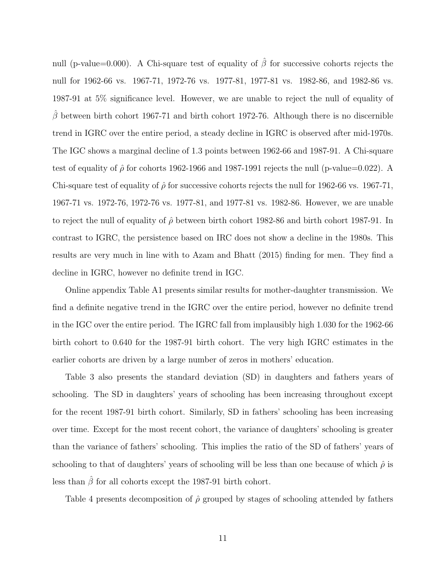null (p-value=0.000). A Chi-square test of equality of  $\hat{\beta}$  for successive cohorts rejects the null for 1962-66 vs. 1967-71, 1972-76 vs. 1977-81, 1977-81 vs. 1982-86, and 1982-86 vs. 1987-91 at 5% significance level. However, we are unable to reject the null of equality of  $\hat{\beta}$  between birth cohort 1967-71 and birth cohort 1972-76. Although there is no discernible trend in IGRC over the entire period, a steady decline in IGRC is observed after mid-1970s. The IGC shows a marginal decline of 1.3 points between 1962-66 and 1987-91. A Chi-square test of equality of  $\hat{\rho}$  for cohorts 1962-1966 and 1987-1991 rejects the null (p-value=0.022). A Chi-square test of equality of  $\hat{\rho}$  for successive cohorts rejects the null for 1962-66 vs. 1967-71, 1967-71 vs. 1972-76, 1972-76 vs. 1977-81, and 1977-81 vs. 1982-86. However, we are unable to reject the null of equality of  $\hat{\rho}$  between birth cohort 1982-86 and birth cohort 1987-91. In contrast to IGRC, the persistence based on IRC does not show a decline in the 1980s. This results are very much in line with to Azam and Bhatt (2015) finding for men. They find a decline in IGRC, however no definite trend in IGC.

Online appendix Table A1 presents similar results for mother-daughter transmission. We find a definite negative trend in the IGRC over the entire period, however no definite trend in the IGC over the entire period. The IGRC fall from implausibly high 1.030 for the 1962-66 birth cohort to 0.640 for the 1987-91 birth cohort. The very high IGRC estimates in the earlier cohorts are driven by a large number of zeros in mothers' education.

Table 3 also presents the standard deviation (SD) in daughters and fathers years of schooling. The SD in daughters' years of schooling has been increasing throughout except for the recent 1987-91 birth cohort. Similarly, SD in fathers' schooling has been increasing over time. Except for the most recent cohort, the variance of daughters' schooling is greater than the variance of fathers' schooling. This implies the ratio of the SD of fathers' years of schooling to that of daughters' years of schooling will be less than one because of which  $\hat{\rho}$  is less than  $\hat{\beta}$  for all cohorts except the 1987-91 birth cohort.

Table 4 presents decomposition of  $\hat{\rho}$  grouped by stages of schooling attended by fathers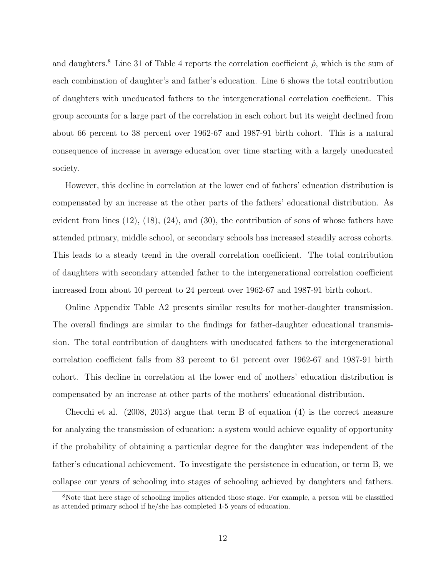and daughters.<sup>8</sup> Line 31 of Table 4 reports the correlation coefficient  $\hat{\rho}$ , which is the sum of each combination of daughter's and father's education. Line 6 shows the total contribution of daughters with uneducated fathers to the intergenerational correlation coefficient. This group accounts for a large part of the correlation in each cohort but its weight declined from about 66 percent to 38 percent over 1962-67 and 1987-91 birth cohort. This is a natural consequence of increase in average education over time starting with a largely uneducated society.

However, this decline in correlation at the lower end of fathers' education distribution is compensated by an increase at the other parts of the fathers' educational distribution. As evident from lines  $(12)$ ,  $(18)$ ,  $(24)$ , and  $(30)$ , the contribution of sons of whose fathers have attended primary, middle school, or secondary schools has increased steadily across cohorts. This leads to a steady trend in the overall correlation coefficient. The total contribution of daughters with secondary attended father to the intergenerational correlation coefficient increased from about 10 percent to 24 percent over 1962-67 and 1987-91 birth cohort.

Online Appendix Table A2 presents similar results for mother-daughter transmission. The overall findings are similar to the findings for father-daughter educational transmission. The total contribution of daughters with uneducated fathers to the intergenerational correlation coefficient falls from 83 percent to 61 percent over 1962-67 and 1987-91 birth cohort. This decline in correlation at the lower end of mothers' education distribution is compensated by an increase at other parts of the mothers' educational distribution.

Checchi et al. (2008, 2013) argue that term B of equation (4) is the correct measure for analyzing the transmission of education: a system would achieve equality of opportunity if the probability of obtaining a particular degree for the daughter was independent of the father's educational achievement. To investigate the persistence in education, or term B, we collapse our years of schooling into stages of schooling achieved by daughters and fathers.

<sup>&</sup>lt;sup>8</sup>Note that here stage of schooling implies attended those stage. For example, a person will be classified as attended primary school if he/she has completed 1-5 years of education.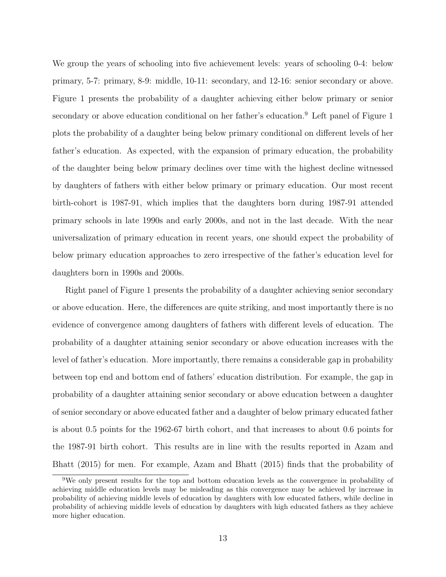We group the years of schooling into five achievement levels: years of schooling 0-4: below primary, 5-7: primary, 8-9: middle, 10-11: secondary, and 12-16: senior secondary or above. Figure 1 presents the probability of a daughter achieving either below primary or senior secondary or above education conditional on her father's education.<sup>9</sup> Left panel of Figure 1 plots the probability of a daughter being below primary conditional on different levels of her father's education. As expected, with the expansion of primary education, the probability of the daughter being below primary declines over time with the highest decline witnessed by daughters of fathers with either below primary or primary education. Our most recent birth-cohort is 1987-91, which implies that the daughters born during 1987-91 attended primary schools in late 1990s and early 2000s, and not in the last decade. With the near universalization of primary education in recent years, one should expect the probability of below primary education approaches to zero irrespective of the father's education level for daughters born in 1990s and 2000s.

Right panel of Figure 1 presents the probability of a daughter achieving senior secondary or above education. Here, the differences are quite striking, and most importantly there is no evidence of convergence among daughters of fathers with different levels of education. The probability of a daughter attaining senior secondary or above education increases with the level of father's education. More importantly, there remains a considerable gap in probability between top end and bottom end of fathers' education distribution. For example, the gap in probability of a daughter attaining senior secondary or above education between a daughter of senior secondary or above educated father and a daughter of below primary educated father is about 0.5 points for the 1962-67 birth cohort, and that increases to about 0.6 points for the 1987-91 birth cohort. This results are in line with the results reported in Azam and Bhatt (2015) for men. For example, Azam and Bhatt (2015) finds that the probability of

<sup>9</sup>We only present results for the top and bottom education levels as the convergence in probability of achieving middle education levels may be misleading as this convergence may be achieved by increase in probability of achieving middle levels of education by daughters with low educated fathers, while decline in probability of achieving middle levels of education by daughters with high educated fathers as they achieve more higher education.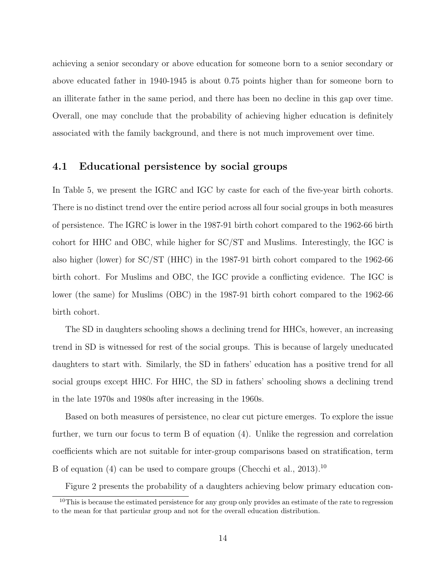achieving a senior secondary or above education for someone born to a senior secondary or above educated father in 1940-1945 is about 0.75 points higher than for someone born to an illiterate father in the same period, and there has been no decline in this gap over time. Overall, one may conclude that the probability of achieving higher education is definitely associated with the family background, and there is not much improvement over time.

#### 4.1 Educational persistence by social groups

In Table 5, we present the IGRC and IGC by caste for each of the five-year birth cohorts. There is no distinct trend over the entire period across all four social groups in both measures of persistence. The IGRC is lower in the 1987-91 birth cohort compared to the 1962-66 birth cohort for HHC and OBC, while higher for SC/ST and Muslims. Interestingly, the IGC is also higher (lower) for SC/ST (HHC) in the 1987-91 birth cohort compared to the 1962-66 birth cohort. For Muslims and OBC, the IGC provide a conflicting evidence. The IGC is lower (the same) for Muslims (OBC) in the 1987-91 birth cohort compared to the 1962-66 birth cohort.

The SD in daughters schooling shows a declining trend for HHCs, however, an increasing trend in SD is witnessed for rest of the social groups. This is because of largely uneducated daughters to start with. Similarly, the SD in fathers' education has a positive trend for all social groups except HHC. For HHC, the SD in fathers' schooling shows a declining trend in the late 1970s and 1980s after increasing in the 1960s.

Based on both measures of persistence, no clear cut picture emerges. To explore the issue further, we turn our focus to term B of equation (4). Unlike the regression and correlation coefficients which are not suitable for inter-group comparisons based on stratification, term B of equation (4) can be used to compare groups (Checchi et al., 2013).<sup>10</sup>

Figure 2 presents the probability of a daughters achieving below primary education con-

<sup>&</sup>lt;sup>10</sup>This is because the estimated persistence for any group only provides an estimate of the rate to regression to the mean for that particular group and not for the overall education distribution.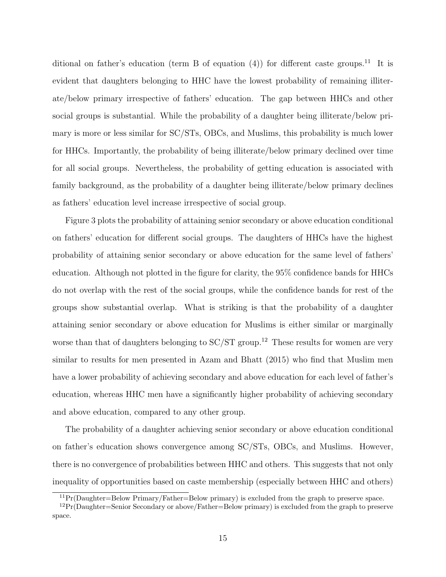ditional on father's education (term B of equation  $(4)$ ) for different caste groups.<sup>11</sup> It is evident that daughters belonging to HHC have the lowest probability of remaining illiterate/below primary irrespective of fathers' education. The gap between HHCs and other social groups is substantial. While the probability of a daughter being illiterate/below primary is more or less similar for SC/STs, OBCs, and Muslims, this probability is much lower for HHCs. Importantly, the probability of being illiterate/below primary declined over time for all social groups. Nevertheless, the probability of getting education is associated with family background, as the probability of a daughter being illiterate/below primary declines as fathers' education level increase irrespective of social group.

Figure 3 plots the probability of attaining senior secondary or above education conditional on fathers' education for different social groups. The daughters of HHCs have the highest probability of attaining senior secondary or above education for the same level of fathers' education. Although not plotted in the figure for clarity, the 95% confidence bands for HHCs do not overlap with the rest of the social groups, while the confidence bands for rest of the groups show substantial overlap. What is striking is that the probability of a daughter attaining senior secondary or above education for Muslims is either similar or marginally worse than that of daughters belonging to  $SC/ST$  group.<sup>12</sup> These results for women are very similar to results for men presented in Azam and Bhatt (2015) who find that Muslim men have a lower probability of achieving secondary and above education for each level of father's education, whereas HHC men have a significantly higher probability of achieving secondary and above education, compared to any other group.

The probability of a daughter achieving senior secondary or above education conditional on father's education shows convergence among SC/STs, OBCs, and Muslims. However, there is no convergence of probabilities between HHC and others. This suggests that not only inequality of opportunities based on caste membership (especially between HHC and others)

 ${}^{11}Pr(Daughter=Below Primary/Father=Below primary)$  is excluded from the graph to preserve space.

 $12Pr(Daughter=Senior Secondary or above/Father=Below primary)$  is excluded from the graph to preserve space.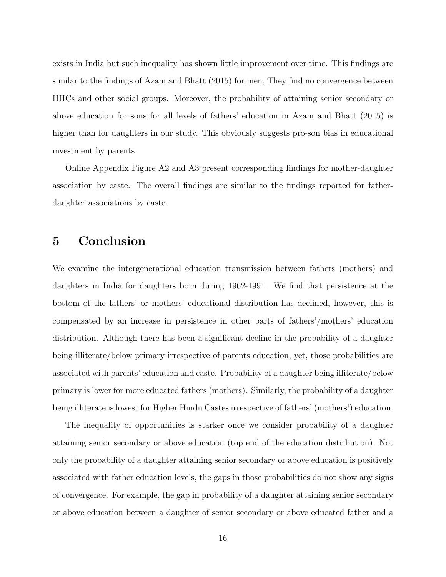exists in India but such inequality has shown little improvement over time. This findings are similar to the findings of Azam and Bhatt (2015) for men, They find no convergence between HHCs and other social groups. Moreover, the probability of attaining senior secondary or above education for sons for all levels of fathers' education in Azam and Bhatt (2015) is higher than for daughters in our study. This obviously suggests pro-son bias in educational investment by parents.

Online Appendix Figure A2 and A3 present corresponding findings for mother-daughter association by caste. The overall findings are similar to the findings reported for fatherdaughter associations by caste.

### 5 Conclusion

We examine the intergenerational education transmission between fathers (mothers) and daughters in India for daughters born during 1962-1991. We find that persistence at the bottom of the fathers' or mothers' educational distribution has declined, however, this is compensated by an increase in persistence in other parts of fathers'/mothers' education distribution. Although there has been a significant decline in the probability of a daughter being illiterate/below primary irrespective of parents education, yet, those probabilities are associated with parents' education and caste. Probability of a daughter being illiterate/below primary is lower for more educated fathers (mothers). Similarly, the probability of a daughter being illiterate is lowest for Higher Hindu Castes irrespective of fathers' (mothers') education.

The inequality of opportunities is starker once we consider probability of a daughter attaining senior secondary or above education (top end of the education distribution). Not only the probability of a daughter attaining senior secondary or above education is positively associated with father education levels, the gaps in those probabilities do not show any signs of convergence. For example, the gap in probability of a daughter attaining senior secondary or above education between a daughter of senior secondary or above educated father and a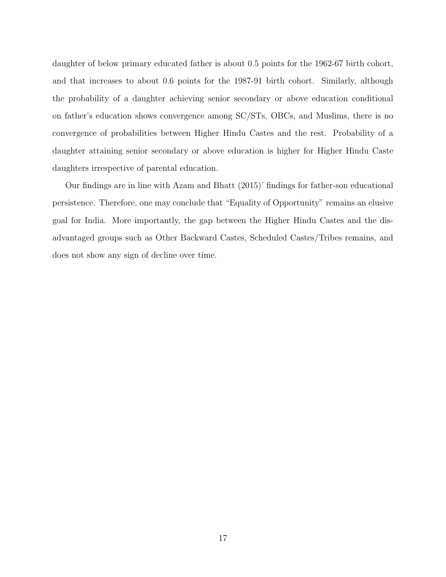daughter of below primary educated father is about 0.5 points for the 1962-67 birth cohort, and that increases to about 0.6 points for the 1987-91 birth cohort. Similarly, although the probability of a daughter achieving senior secondary or above education conditional on father's education shows convergence among SC/STs, OBCs, and Muslims, there is no convergence of probabilities between Higher Hindu Castes and the rest. Probability of a daughter attaining senior secondary or above education is higher for Higher Hindu Caste daughters irrespective of parental education.

Our findings are in line with Azam and Bhatt (2015)' findings for father-son educational persistence. Therefore, one may conclude that "Equality of Opportunity" remains an elusive goal for India. More importantly, the gap between the Higher Hindu Castes and the disadvantaged groups such as Other Backward Castes, Scheduled Castes/Tribes remains, and does not show any sign of decline over time.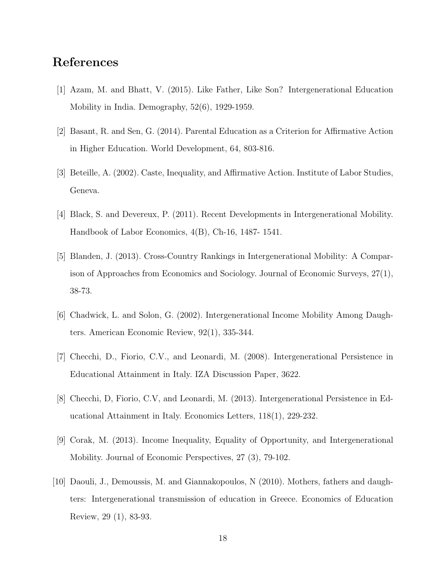## References

- [1] Azam, M. and Bhatt, V. (2015). Like Father, Like Son? Intergenerational Education Mobility in India. Demography, 52(6), 1929-1959.
- [2] Basant, R. and Sen, G. (2014). Parental Education as a Criterion for Affirmative Action in Higher Education. World Development, 64, 803-816.
- [3] Beteille, A. (2002). Caste, Inequality, and Affirmative Action. Institute of Labor Studies, Geneva.
- [4] Black, S. and Devereux, P. (2011). Recent Developments in Intergenerational Mobility. Handbook of Labor Economics, 4(B), Ch-16, 1487- 1541.
- [5] Blanden, J. (2013). Cross-Country Rankings in Intergenerational Mobility: A Comparison of Approaches from Economics and Sociology. Journal of Economic Surveys, 27(1), 38-73.
- [6] Chadwick, L. and Solon, G. (2002). Intergenerational Income Mobility Among Daughters. American Economic Review, 92(1), 335-344.
- [7] Checchi, D., Fiorio, C.V., and Leonardi, M. (2008). Intergenerational Persistence in Educational Attainment in Italy. IZA Discussion Paper, 3622.
- [8] Checchi, D, Fiorio, C.V, and Leonardi, M. (2013). Intergenerational Persistence in Educational Attainment in Italy. Economics Letters, 118(1), 229-232.
- [9] Corak, M. (2013). Income Inequality, Equality of Opportunity, and Intergenerational Mobility. Journal of Economic Perspectives, 27 (3), 79-102.
- [10] Daouli, J., Demoussis, M. and Giannakopoulos, N (2010). Mothers, fathers and daughters: Intergenerational transmission of education in Greece. Economics of Education Review, 29 (1), 83-93.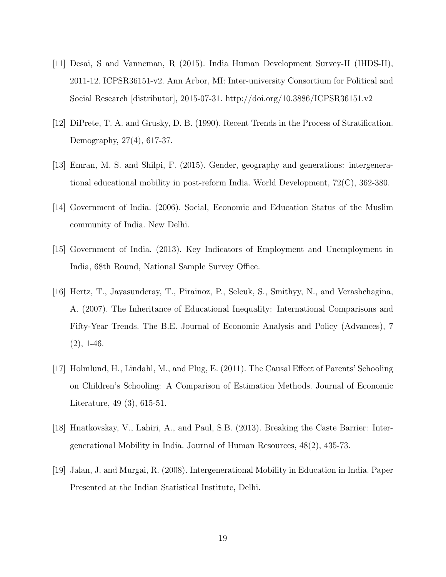- [11] Desai, S and Vanneman, R (2015). India Human Development Survey-II (IHDS-II), 2011-12. ICPSR36151-v2. Ann Arbor, MI: Inter-university Consortium for Political and Social Research [distributor], 2015-07-31. http://doi.org/10.3886/ICPSR36151.v2
- [12] DiPrete, T. A. and Grusky, D. B. (1990). Recent Trends in the Process of Stratification. Demography, 27(4), 617-37.
- [13] Emran, M. S. and Shilpi, F. (2015). Gender, geography and generations: intergenerational educational mobility in post-reform India. World Development, 72(C), 362-380.
- [14] Government of India. (2006). Social, Economic and Education Status of the Muslim community of India. New Delhi.
- [15] Government of India. (2013). Key Indicators of Employment and Unemployment in India, 68th Round, National Sample Survey Office.
- [16] Hertz, T., Jayasunderay, T., Pirainoz, P., Selcuk, S., Smithyy, N., and Verashchagina, A. (2007). The Inheritance of Educational Inequality: International Comparisons and Fifty-Year Trends. The B.E. Journal of Economic Analysis and Policy (Advances), 7  $(2), 1-46.$
- [17] Holmlund, H., Lindahl, M., and Plug, E. (2011). The Causal Effect of Parents' Schooling on Children's Schooling: A Comparison of Estimation Methods. Journal of Economic Literature, 49 (3), 615-51.
- [18] Hnatkovskay, V., Lahiri, A., and Paul, S.B. (2013). Breaking the Caste Barrier: Intergenerational Mobility in India. Journal of Human Resources, 48(2), 435-73.
- [19] Jalan, J. and Murgai, R. (2008). Intergenerational Mobility in Education in India. Paper Presented at the Indian Statistical Institute, Delhi.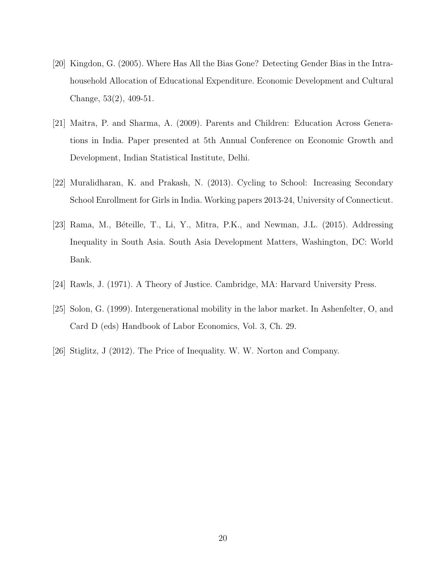- [20] Kingdon, G. (2005). Where Has All the Bias Gone? Detecting Gender Bias in the Intrahousehold Allocation of Educational Expenditure. Economic Development and Cultural Change, 53(2), 409-51.
- [21] Maitra, P. and Sharma, A. (2009). Parents and Children: Education Across Generations in India. Paper presented at 5th Annual Conference on Economic Growth and Development, Indian Statistical Institute, Delhi.
- [22] Muralidharan, K. and Prakash, N. (2013). Cycling to School: Increasing Secondary School Enrollment for Girls in India. Working papers 2013-24, University of Connecticut.
- [23] Rama, M., Béteille, T., Li, Y., Mitra, P.K., and Newman, J.L. (2015). Addressing Inequality in South Asia. South Asia Development Matters, Washington, DC: World Bank.
- [24] Rawls, J. (1971). A Theory of Justice. Cambridge, MA: Harvard University Press.
- [25] Solon, G. (1999). Intergenerational mobility in the labor market. In Ashenfelter, O, and Card D (eds) Handbook of Labor Economics, Vol. 3, Ch. 29.
- [26] Stiglitz, J (2012). The Price of Inequality. W. W. Norton and Company.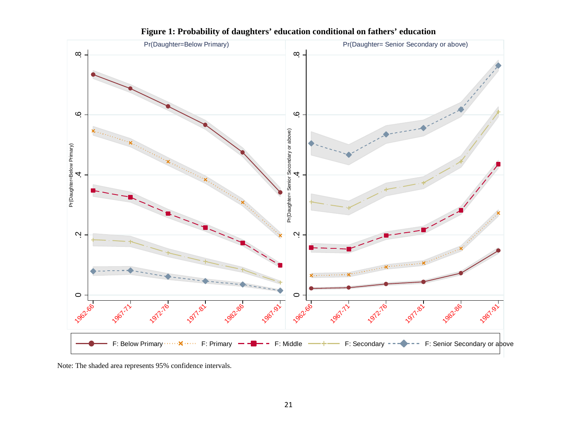

**Figure 1: Probability of daughters' education conditional on fathers' education** 

Note: The shaded area represents 95% confidence intervals.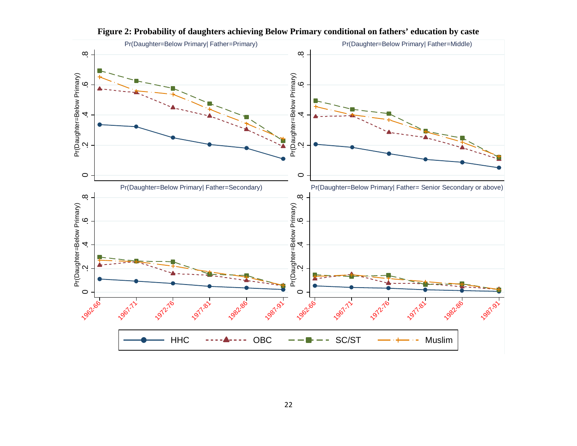

**Figure 2: Probability of daughters achieving Below Primary conditional on fathers' education by caste**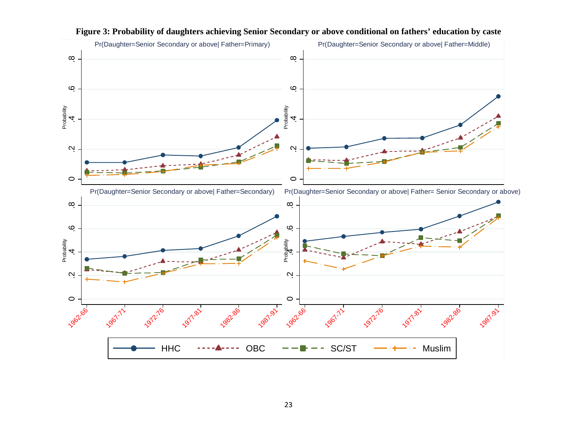

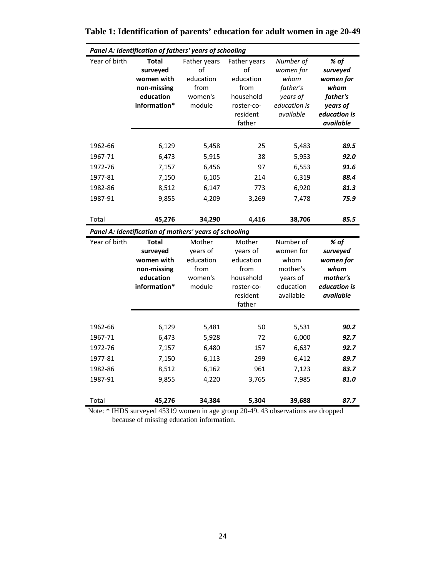| Panel A: Identification of fathers' years of schooling         |                                                                                    |                                                              |                                                                                          |                                                                                     |                                                                                            |  |  |  |
|----------------------------------------------------------------|------------------------------------------------------------------------------------|--------------------------------------------------------------|------------------------------------------------------------------------------------------|-------------------------------------------------------------------------------------|--------------------------------------------------------------------------------------------|--|--|--|
| Year of birth                                                  | <b>Total</b><br>surveyed<br>women with<br>non-missing<br>education<br>information* | Father years<br>οf<br>education<br>from<br>women's<br>module | Father years<br>of<br>education<br>from<br>household<br>roster-co-<br>resident<br>father | Number of<br>women for<br>whom<br>father's<br>years of<br>education is<br>available | % of<br>surveyed<br>women for<br>whom<br>father's<br>years of<br>education is<br>available |  |  |  |
| 1962-66<br>1967-71<br>1972-76<br>1977-81<br>1982-86<br>1987-91 | 6,129<br>6,473<br>7,157<br>7,150<br>8,512<br>9,855                                 | 5,458<br>5,915<br>6,456<br>6,105<br>6,147<br>4,209           | 25<br>38<br>97<br>214<br>773<br>3,269                                                    | 5,483<br>5,953<br>6,553<br>6,319<br>6,920<br>7,478                                  | 89.5<br>92.0<br>91.6<br>88.4<br>81.3<br>75.9                                               |  |  |  |
| Total                                                          | 45,276<br>Panel A: Identification of mothers' years of schooling                   | 34,290                                                       | 4,416                                                                                    | 38,706                                                                              | 85.5                                                                                       |  |  |  |
| Year of birth                                                  | <b>Total</b><br>surveyed                                                           | Mother<br>years of                                           | Mother<br>years of                                                                       | Number of<br>women for                                                              | % of<br>surveyed                                                                           |  |  |  |
|                                                                | women with<br>non-missing<br>education<br>information*                             | education<br>from<br>women's<br>module                       | education<br>from<br>household<br>roster-co-<br>resident<br>father                       | whom<br>mother's<br>years of<br>education<br>available                              | women for<br>whom<br>mother's<br>education is<br>available                                 |  |  |  |
| 1962-66<br>1967-71<br>1972-76<br>1977-81<br>1982-86<br>1987-91 | 6,129<br>6,473<br>7,157<br>7,150<br>8,512<br>9,855                                 | 5,481<br>5,928<br>6,480<br>6,113<br>6,162<br>4,220           | 50<br>72<br>157<br>299<br>961<br>3,765                                                   | 5,531<br>6,000<br>6,637<br>6,412<br>7,123<br>7,985                                  | 90.2<br>92.7<br>92.7<br>89.7<br>83.7<br>81.0                                               |  |  |  |

**Table 1: Identification of parents' education for adult women in age 20-49** 

 Note: \* IHDS surveyed 45319 women in age group 20-49. 43 observations are dropped because of missing education information.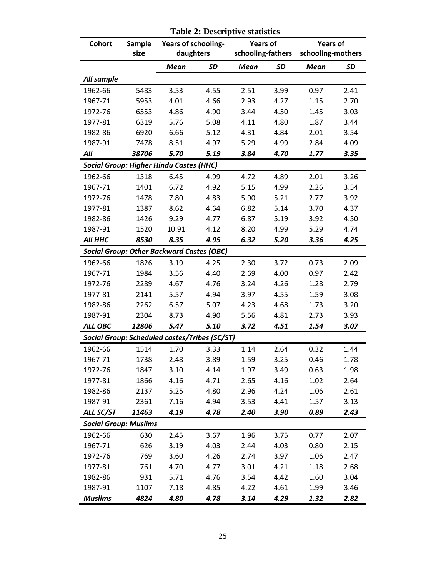| Cohort                       | Sample |                                                  | Years of schooling-<br><b>Years of</b> |                   |      | <b>Years of</b>   |           |  |
|------------------------------|--------|--------------------------------------------------|----------------------------------------|-------------------|------|-------------------|-----------|--|
|                              | size   | daughters                                        |                                        | schooling-fathers |      | schooling-mothers |           |  |
|                              |        | Mean                                             | <b>SD</b>                              | <b>Mean</b>       | SD   | <b>Mean</b>       | <b>SD</b> |  |
| All sample                   |        |                                                  |                                        |                   |      |                   |           |  |
| 1962-66                      | 5483   | 3.53                                             | 4.55                                   | 2.51              | 3.99 | 0.97              | 2.41      |  |
| 1967-71                      | 5953   | 4.01                                             | 4.66                                   | 2.93              | 4.27 | 1.15              | 2.70      |  |
| 1972-76                      | 6553   | 4.86                                             | 4.90                                   | 3.44              | 4.50 | 1.45              | 3.03      |  |
| 1977-81                      | 6319   | 5.76                                             | 5.08                                   | 4.11              | 4.80 | 1.87              | 3.44      |  |
| 1982-86                      | 6920   | 6.66                                             | 5.12                                   | 4.31              | 4.84 | 2.01              | 3.54      |  |
| 1987-91                      | 7478   | 8.51                                             | 4.97                                   | 5.29              | 4.99 | 2.84              | 4.09      |  |
| All                          | 38706  | 5.70                                             | 5.19                                   | 3.84              | 4.70 | 1.77              | 3.35      |  |
|                              |        | <b>Social Group: Higher Hindu Castes (HHC)</b>   |                                        |                   |      |                   |           |  |
| 1962-66                      | 1318   | 6.45                                             | 4.99                                   | 4.72              | 4.89 | 2.01              | 3.26      |  |
| 1967-71                      | 1401   | 6.72                                             | 4.92                                   | 5.15              | 4.99 | 2.26              | 3.54      |  |
| 1972-76                      | 1478   | 7.80                                             | 4.83                                   | 5.90              | 5.21 | 2.77              | 3.92      |  |
| 1977-81                      | 1387   | 8.62                                             | 4.64                                   | 6.82              | 5.14 | 3.70              | 4.37      |  |
| 1982-86                      | 1426   | 9.29                                             | 4.77                                   | 6.87              | 5.19 | 3.92              | 4.50      |  |
| 1987-91                      | 1520   | 10.91                                            | 4.12                                   | 8.20              | 4.99 | 5.29              | 4.74      |  |
| All HHC                      | 8530   | 8.35                                             | 4.95                                   | 6.32              | 5.20 | 3.36              | 4.25      |  |
|                              |        | <b>Social Group: Other Backward Castes (OBC)</b> |                                        |                   |      |                   |           |  |
| 1962-66                      | 1826   | 3.19                                             | 4.25                                   | 2.30              | 3.72 | 0.73              | 2.09      |  |
| 1967-71                      | 1984   | 3.56                                             | 4.40                                   | 2.69              | 4.00 | 0.97              | 2.42      |  |
| 1972-76                      | 2289   | 4.67                                             | 4.76                                   | 3.24              | 4.26 | 1.28              | 2.79      |  |
| 1977-81                      | 2141   | 5.57                                             | 4.94                                   | 3.97              | 4.55 | 1.59              | 3.08      |  |
| 1982-86                      | 2262   | 6.57                                             | 5.07                                   | 4.23              | 4.68 | 1.73              | 3.20      |  |
| 1987-91                      | 2304   | 8.73                                             | 4.90                                   | 5.56              | 4.81 | 2.73              | 3.93      |  |
| ALL OBC                      | 12806  | 5.47                                             | 5.10                                   | 3.72              | 4.51 | 1.54              | 3.07      |  |
|                              |        | Social Group: Scheduled castes/Tribes (SC/ST)    |                                        |                   |      |                   |           |  |
| 1962-66                      | 1514   | 1.70                                             | 3.33                                   | 1.14              | 2.64 | 0.32              | 1.44      |  |
| 1967-71                      | 1738   | 2.48                                             | 3.89                                   | 1.59              | 3.25 | 0.46              | 1.78      |  |
| 1972-76                      | 1847   | 3.10                                             | 4.14                                   | 1.97              | 3.49 | 0.63              | 1.98      |  |
| 1977-81                      | 1866   | 4.16                                             | 4.71                                   | 2.65              | 4.16 | 1.02              | 2.64      |  |
| 1982-86                      | 2137   | 5.25                                             | 4.80                                   | 2.96              | 4.24 | 1.06              | 2.61      |  |
| 1987-91                      | 2361   | 7.16                                             | 4.94                                   | 3.53              | 4.41 | 1.57              | 3.13      |  |
| ALL SC/ST                    | 11463  | 4.19                                             | 4.78                                   | 2.40              | 3.90 | 0.89              | 2.43      |  |
| <b>Social Group: Muslims</b> |        |                                                  |                                        |                   |      |                   |           |  |
| 1962-66                      | 630    | 2.45                                             | 3.67                                   | 1.96              | 3.75 | 0.77              | 2.07      |  |
| 1967-71                      | 626    | 3.19                                             | 4.03                                   | 2.44              | 4.03 | 0.80              | 2.15      |  |
| 1972-76                      | 769    | 3.60                                             | 4.26                                   | 2.74              | 3.97 | 1.06              | 2.47      |  |
| 1977-81                      | 761    | 4.70                                             | 4.77                                   | 3.01              | 4.21 | 1.18              | 2.68      |  |
| 1982-86                      | 931    | 5.71                                             | 4.76                                   | 3.54              | 4.42 | 1.60              | 3.04      |  |
| 1987-91                      | 1107   | 7.18                                             | 4.85                                   | 4.22              | 4.61 | 1.99              | 3.46      |  |
| <b>Muslims</b>               | 4824   | 4.80                                             | 4.78                                   | 3.14              | 4.29 | 1.32              | 2.82      |  |

 **Table 2: Descriptive statistics**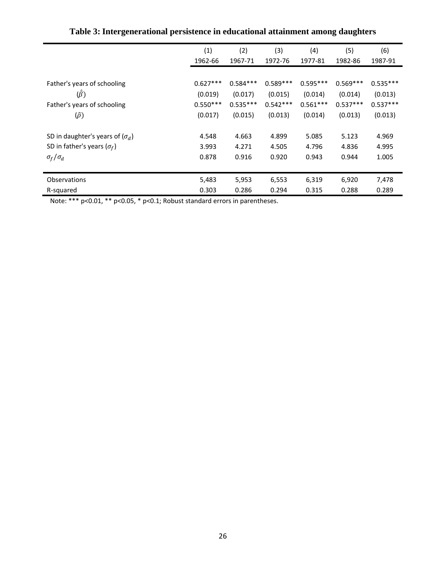|                                        | (1)        | (2)        | (3)        | (4)        | (5)        | (6)        |
|----------------------------------------|------------|------------|------------|------------|------------|------------|
|                                        | 1962-66    | 1967-71    | 1972-76    | 1977-81    | 1982-86    | 1987-91    |
|                                        |            |            |            |            |            |            |
| Father's years of schooling            | $0.627***$ | $0.584***$ | $0.589***$ | $0.595***$ | $0.569***$ | $0.535***$ |
| $(\hat{\beta})$                        | (0.019)    | (0.017)    | (0.015)    | (0.014)    | (0.014)    | (0.013)    |
| Father's years of schooling            | $0.550***$ | $0.535***$ | $0.542***$ | $0.561***$ | $0.537***$ | $0.537***$ |
| $(\hat{\rho})$                         | (0.017)    | (0.015)    | (0.013)    | (0.014)    | (0.013)    | (0.013)    |
|                                        |            |            |            |            |            |            |
| SD in daughter's years of $(\sigma_d)$ | 4.548      | 4.663      | 4.899      | 5.085      | 5.123      | 4.969      |
| SD in father's years ( $\sigma_f$ )    | 3.993      | 4.271      | 4.505      | 4.796      | 4.836      | 4.995      |
| $\sigma_f/\sigma_d$                    | 0.878      | 0.916      | 0.920      | 0.943      | 0.944      | 1.005      |
|                                        |            |            |            |            |            |            |
| <b>Observations</b>                    | 5,483      | 5,953      | 6,553      | 6,319      | 6,920      | 7,478      |
| R-squared                              | 0.303      | 0.286      | 0.294      | 0.315      | 0.288      | 0.289      |
|                                        |            |            |            |            |            |            |

**Table 3: Intergenerational persistence in educational attainment among daughters** 

Note: \*\*\* p<0.01, \*\* p<0.05, \* p<0.1; Robust standard errors in parentheses.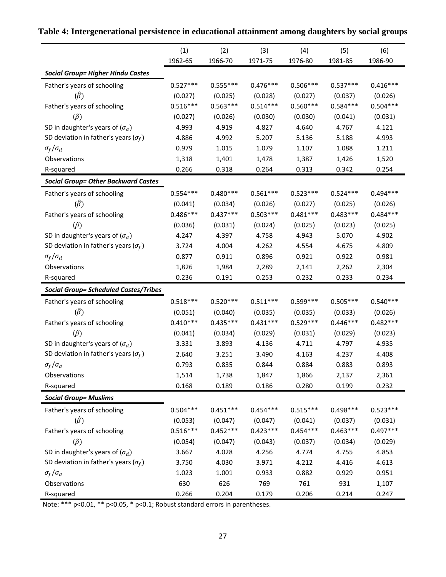|                                               | (1)        | (2)        | (3)        | (4)        | (5)        | (6)        |
|-----------------------------------------------|------------|------------|------------|------------|------------|------------|
|                                               | 1962-65    | 1966-70    | 1971-75    | 1976-80    | 1981-85    | 1986-90    |
| <b>Social Group= Higher Hindu Castes</b>      |            |            |            |            |            |            |
| Father's years of schooling                   | $0.527***$ | $0.555***$ | $0.476***$ | $0.506***$ | $0.537***$ | $0.416***$ |
| $(\hat{\beta})$                               | (0.027)    | (0.025)    | (0.028)    | (0.027)    | (0.037)    | (0.026)    |
| Father's years of schooling                   | $0.516***$ | $0.563***$ | $0.514***$ | $0.560***$ | $0.584***$ | $0.504***$ |
| $(\hat{\rho})$                                | (0.027)    | (0.026)    | (0.030)    | (0.030)    | (0.041)    | (0.031)    |
| SD in daughter's years of $(\sigma_d)$        | 4.993      | 4.919      | 4.827      | 4.640      | 4.767      | 4.121      |
| SD deviation in father's years ( $\sigma_f$ ) | 4.886      | 4.992      | 5.207      | 5.136      | 5.188      | 4.993      |
| $\sigma_f/\sigma_d$                           | 0.979      | 1.015      | 1.079      | 1.107      | 1.088      | 1.211      |
| Observations                                  | 1,318      | 1,401      | 1,478      | 1,387      | 1,426      | 1,520      |
| R-squared                                     | 0.266      | 0.318      | 0.264      | 0.313      | 0.342      | 0.254      |
| <b>Social Group= Other Backward Castes</b>    |            |            |            |            |            |            |
| Father's years of schooling                   | $0.554***$ | $0.480***$ | $0.561***$ | $0.523***$ | $0.524***$ | $0.494***$ |
| $(\hat{\beta})$                               | (0.041)    | (0.034)    | (0.026)    | (0.027)    | (0.025)    | (0.026)    |
| Father's years of schooling                   | $0.486***$ | $0.437***$ | $0.503***$ | $0.481***$ | $0.483***$ | $0.484***$ |
| $(\hat{\rho})$                                | (0.036)    | (0.031)    | (0.024)    | (0.025)    | (0.023)    | (0.025)    |
| SD in daughter's years of $(\sigma_d)$        | 4.247      | 4.397      | 4.758      | 4.943      | 5.070      | 4.902      |
| SD deviation in father's years ( $\sigma_f$ ) | 3.724      | 4.004      | 4.262      | 4.554      | 4.675      | 4.809      |
| $\sigma_f/\sigma_d$                           | 0.877      | 0.911      | 0.896      | 0.921      | 0.922      | 0.981      |
| Observations                                  | 1,826      | 1,984      | 2,289      | 2,141      | 2,262      | 2,304      |
| R-squared                                     | 0.236      | 0.191      | 0.253      | 0.232      | 0.233      | 0.234      |
| <b>Social Group= Scheduled Castes/Tribes</b>  |            |            |            |            |            |            |
| Father's years of schooling                   | $0.518***$ | $0.520***$ | $0.511***$ | $0.599***$ | $0.505***$ | $0.540***$ |
| $(\hat{\beta})$                               | (0.051)    | (0.040)    | (0.035)    | (0.035)    | (0.033)    | (0.026)    |
| Father's years of schooling                   | $0.410***$ | $0.435***$ | $0.431***$ | $0.529***$ | $0.446***$ | $0.482***$ |
| $(\hat{\rho})$                                | (0.041)    | (0.034)    | (0.029)    | (0.031)    | (0.029)    | (0.023)    |
| SD in daughter's years of $(\sigma_d)$        | 3.331      | 3.893      | 4.136      | 4.711      | 4.797      | 4.935      |
| SD deviation in father's years ( $\sigma_f$ ) | 2.640      | 3.251      | 3.490      | 4.163      | 4.237      | 4.408      |
| $\sigma_f/\sigma_d$                           | 0.793      | 0.835      | 0.844      | 0.884      | 0.883      | 0.893      |
| Observations                                  | 1,514      | 1,738      | 1,847      | 1,866      | 2,137      | 2,361      |
| R-squared                                     | 0.168      | 0.189      | 0.186      | 0.280      | 0.199      | 0.232      |
| <b>Social Group= Muslims</b>                  |            |            |            |            |            |            |
| Father's years of schooling                   | $0.504***$ | $0.451***$ | $0.454***$ | $0.515***$ | $0.498***$ | $0.523***$ |
| $(\hat{\beta})$                               | (0.053)    | (0.047)    | (0.047)    | (0.041)    | (0.037)    | (0.031)    |
| Father's years of schooling                   | $0.516***$ | $0.452***$ | $0.423***$ | $0.454***$ | $0.463***$ | $0.497***$ |
| $(\hat{\rho})$                                | (0.054)    | (0.047)    | (0.043)    | (0.037)    | (0.034)    | (0.029)    |
| SD in daughter's years of $(\sigma_d)$        | 3.667      | 4.028      | 4.256      | 4.774      | 4.755      | 4.853      |
| SD deviation in father's years ( $\sigma_f$ ) | 3.750      | 4.030      | 3.971      | 4.212      | 4.416      | 4.613      |
| $\sigma_f/\sigma_d$                           | 1.023      | 1.001      | 0.933      | 0.882      | 0.929      | 0.951      |
| Observations                                  | 630        | 626        | 769        | 761        | 931        | 1,107      |
| R-squared                                     | 0.266      | 0.204      | 0.179      | 0.206      | 0.214      | 0.247      |

### **Table 4: Intergenerational persistence in educational attainment among daughters by social groups**

Note: \*\*\* p<0.01, \*\* p<0.05, \* p<0.1; Robust standard errors in parentheses.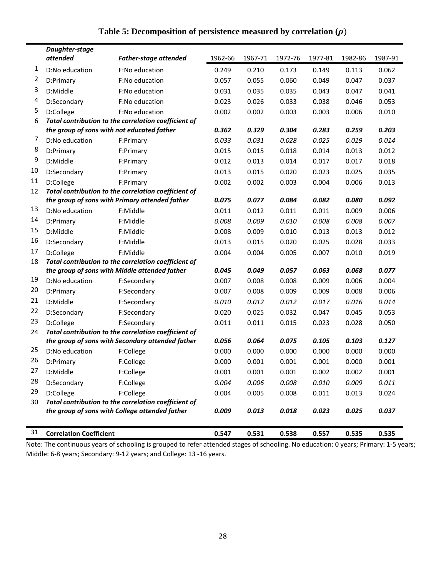|    | Daughter-stage<br>attended                 | <b>Father-stage attended</b>                                                                           | 1962-66 | 1967-71 | 1972-76 | 1977-81 | 1982-86 | 1987-91 |
|----|--------------------------------------------|--------------------------------------------------------------------------------------------------------|---------|---------|---------|---------|---------|---------|
| 1  | D:No education                             | F:No education                                                                                         | 0.249   | 0.210   | 0.173   | 0.149   | 0.113   | 0.062   |
| 2  | D:Primary                                  | F:No education                                                                                         | 0.057   | 0.055   | 0.060   | 0.049   | 0.047   | 0.037   |
| 3  | D:Middle                                   | F:No education                                                                                         | 0.031   | 0.035   | 0.035   | 0.043   | 0.047   | 0.041   |
| 4  | D:Secondary                                | F:No education                                                                                         | 0.023   | 0.026   | 0.033   | 0.038   | 0.046   | 0.053   |
| 5  | D:College                                  | F:No education                                                                                         | 0.002   | 0.002   | 0.003   | 0.003   | 0.006   | 0.010   |
| 6  |                                            | Total contribution to the correlation coefficient of                                                   |         |         |         |         |         |         |
|    | the group of sons with not educated father | 0.362                                                                                                  | 0.329   | 0.304   | 0.283   | 0.259   | 0.203   |         |
| 7  | D:No education                             | F:Primary                                                                                              | 0.033   | 0.031   | 0.028   | 0.025   | 0.019   | 0.014   |
| 8  | D:Primary                                  | F:Primary                                                                                              | 0.015   | 0.015   | 0.018   | 0.014   | 0.013   | 0.012   |
| 9  | D:Middle                                   | F:Primary                                                                                              | 0.012   | 0.013   | 0.014   | 0.017   | 0.017   | 0.018   |
| 10 | D:Secondary                                | F:Primary                                                                                              | 0.013   | 0.015   | 0.020   | 0.023   | 0.025   | 0.035   |
| 11 | D:College                                  | F:Primary                                                                                              | 0.002   | 0.002   | 0.003   | 0.004   | 0.006   | 0.013   |
| 12 |                                            | Total contribution to the correlation coefficient of                                                   |         |         |         |         |         |         |
|    |                                            | the group of sons with Primary attended father                                                         | 0.075   | 0.077   | 0.084   | 0.082   | 0.080   | 0.092   |
| 13 | D:No education                             | F:Middle                                                                                               | 0.011   | 0.012   | 0.011   | 0.011   | 0.009   | 0.006   |
| 14 | D:Primary                                  | F:Middle                                                                                               | 0.008   | 0.009   | 0.010   | 0.008   | 0.008   | 0.007   |
| 15 | D:Middle                                   | F:Middle                                                                                               | 0.008   | 0.009   | 0.010   | 0.013   | 0.013   | 0.012   |
| 16 | D:Secondary                                | F:Middle                                                                                               | 0.013   | 0.015   | 0.020   | 0.025   | 0.028   | 0.033   |
| 17 | D:College                                  | F:Middle                                                                                               | 0.004   | 0.004   | 0.005   | 0.007   | 0.010   | 0.019   |
| 18 |                                            | Total contribution to the correlation coefficient of                                                   |         |         |         |         |         |         |
|    |                                            | the group of sons with Middle attended father                                                          | 0.045   | 0.049   | 0.057   | 0.063   | 0.068   | 0.077   |
| 19 | D:No education                             | F:Secondary                                                                                            | 0.007   | 0.008   | 0.008   | 0.009   | 0.006   | 0.004   |
| 20 | D:Primary                                  | F:Secondary                                                                                            | 0.007   | 0.008   | 0.009   | 0.009   | 0.008   | 0.006   |
| 21 | D:Middle                                   | F:Secondary                                                                                            | 0.010   | 0.012   | 0.012   | 0.017   | 0.016   | 0.014   |
| 22 | D:Secondary                                | F:Secondary                                                                                            | 0.020   | 0.025   | 0.032   | 0.047   | 0.045   | 0.053   |
| 23 | D:College                                  | F:Secondary                                                                                            | 0.011   | 0.011   | 0.015   | 0.023   | 0.028   | 0.050   |
| 24 |                                            | Total contribution to the correlation coefficient of                                                   |         |         |         |         |         |         |
|    |                                            | the group of sons with Secondary attended father                                                       | 0.056   | 0.064   | 0.075   | 0.105   | 0.103   | 0.127   |
| 25 | D:No education                             | F:College                                                                                              | 0.000   | 0.000   | 0.000   | 0.000   | 0.000   | 0.000   |
| 26 | D:Primary                                  | F:College                                                                                              | 0.000   | 0.001   | 0.001   | 0.001   | 0.000   | 0.001   |
| 27 | D:Middle                                   | F:College                                                                                              | 0.001   | 0.001   | 0.001   | 0.002   | 0.002   | 0.001   |
| 28 | D:Secondary                                | F:College                                                                                              | 0.004   | 0.006   | 0.008   | 0.010   | 0.009   | 0.011   |
| 29 | D:College                                  | F:College                                                                                              | 0.004   | 0.005   | 0.008   | 0.011   | 0.013   | 0.024   |
| 30 |                                            | Total contribution to the correlation coefficient of<br>the group of sons with College attended father |         |         | 0.018   |         |         |         |
|    |                                            |                                                                                                        | 0.009   | 0.013   |         | 0.023   | 0.025   | 0.037   |
| 31 | <b>Correlation Coefficient</b>             |                                                                                                        | 0.547   | 0.531   | 0.538   | 0.557   | 0.535   | 0.535   |

### **Table 5: Decomposition of persistence measured by correlation**  $(\rho)$

Note: The continuous years of schooling is grouped to refer attended stages of schooling. No education: 0 years; Primary: 1‐5 years; Middle: 6‐8 years; Secondary: 9‐12 years; and College: 13 ‐16 years.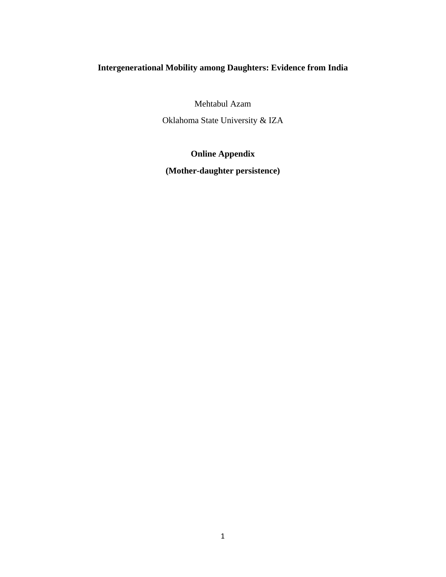### **Intergenerational Mobility among Daughters: Evidence from India**

Mehtabul Azam

Oklahoma State University & IZA

# **Online Appendix**

**(Mother-daughter persistence)**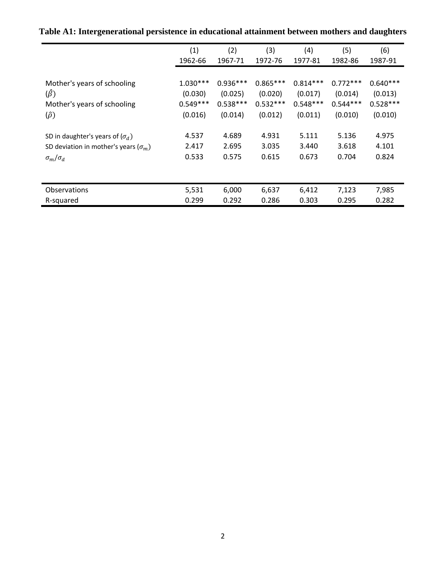|                                               | (1)        | (2)        | (3)        | (4)        | (5)        | (6)        |
|-----------------------------------------------|------------|------------|------------|------------|------------|------------|
|                                               | 1962-66    | 1967-71    | 1972-76    | 1977-81    | 1982-86    | 1987-91    |
|                                               |            |            |            |            |            |            |
| Mother's years of schooling                   | $1.030***$ | $0.936***$ | $0.865***$ | $0.814***$ | $0.772***$ | $0.640***$ |
| $(\hat{\beta})$                               | (0.030)    | (0.025)    | (0.020)    | (0.017)    | (0.014)    | (0.013)    |
| Mother's years of schooling                   | $0.549***$ | $0.538***$ | $0.532***$ | $0.548***$ | $0.544***$ | $0.528***$ |
| $(\hat{\rho})$                                | (0.016)    | (0.014)    | (0.012)    | (0.011)    | (0.010)    | (0.010)    |
| SD in daughter's years of $(\sigma_d)$        | 4.537      | 4.689      | 4.931      | 5.111      | 5.136      | 4.975      |
| SD deviation in mother's years ( $\sigma_m$ ) | 2.417      | 2.695      | 3.035      | 3.440      | 3.618      | 4.101      |
| $\sigma_m/\sigma_d$                           | 0.533      | 0.575      | 0.615      | 0.673      | 0.704      | 0.824      |
|                                               |            |            |            |            |            |            |
| <b>Observations</b>                           | 5,531      | 6,000      | 6,637      | 6,412      | 7,123      | 7,985      |
| R-squared                                     | 0.299      | 0.292      | 0.286      | 0.303      | 0.295      | 0.282      |

**Table A1: Intergenerational persistence in educational attainment between mothers and daughters**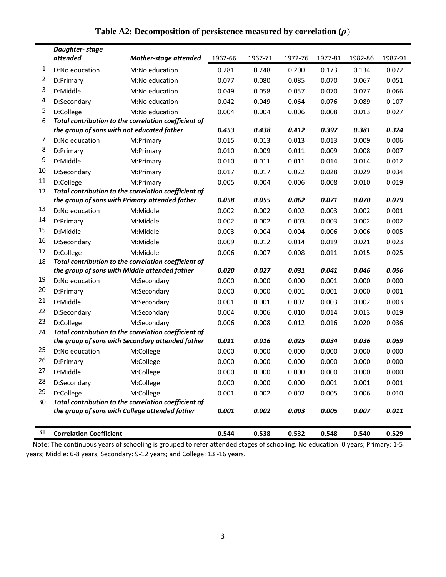|                                                                                                             | Daughter-stage<br>attended                 | <b>Mother-stage attended</b>                                        | 1962-66 | 1967-71 | 1972-76 | 1977-81 | 1982-86 | 1987-91 |
|-------------------------------------------------------------------------------------------------------------|--------------------------------------------|---------------------------------------------------------------------|---------|---------|---------|---------|---------|---------|
| 1                                                                                                           | D:No education                             | M:No education                                                      | 0.281   | 0.248   | 0.200   | 0.173   | 0.134   | 0.072   |
| 2                                                                                                           | D:Primary                                  | M:No education                                                      | 0.077   | 0.080   | 0.085   | 0.070   | 0.067   | 0.051   |
| 3                                                                                                           | D:Middle                                   | M:No education                                                      | 0.049   | 0.058   | 0.057   | 0.070   | 0.077   | 0.066   |
| 4                                                                                                           | D:Secondary                                | M:No education                                                      | 0.042   | 0.049   | 0.064   | 0.076   | 0.089   | 0.107   |
| 5                                                                                                           | D:College                                  | M:No education                                                      | 0.004   | 0.004   | 0.006   | 0.008   | 0.013   | 0.027   |
| 6                                                                                                           |                                            | Total contribution to the correlation coefficient of                |         |         |         |         |         |         |
|                                                                                                             | the group of sons with not educated father |                                                                     | 0.453   | 0.438   | 0.412   | 0.397   | 0.381   | 0.324   |
| 7                                                                                                           | D:No education                             | M:Primary                                                           | 0.015   | 0.013   | 0.013   | 0.013   | 0.009   | 0.006   |
| 8                                                                                                           | D:Primary                                  | M:Primary                                                           | 0.010   | 0.009   | 0.011   | 0.009   | 0.008   | 0.007   |
| 9                                                                                                           | D:Middle                                   | M:Primary                                                           | 0.010   | 0.011   | 0.011   | 0.014   | 0.014   | 0.012   |
| 10                                                                                                          | D:Secondary                                | M:Primary                                                           | 0.017   | 0.017   | 0.022   | 0.028   | 0.029   | 0.034   |
| 11                                                                                                          | D:College                                  | M:Primary                                                           | 0.005   | 0.004   | 0.006   | 0.008   | 0.010   | 0.019   |
| 12                                                                                                          |                                            | Total contribution to the correlation coefficient of                |         |         |         |         |         |         |
|                                                                                                             |                                            | the group of sons with Primary attended father                      | 0.058   | 0.055   | 0.062   | 0.071   | 0.070   | 0.079   |
| 13                                                                                                          | D:No education                             | M:Middle                                                            | 0.002   | 0.002   | 0.002   | 0.003   | 0.002   | 0.001   |
| 14                                                                                                          | D:Primary                                  | M:Middle                                                            | 0.002   | 0.002   | 0.003   | 0.003   | 0.002   | 0.002   |
| 15                                                                                                          | D:Middle                                   | M:Middle                                                            | 0.003   | 0.004   | 0.004   | 0.006   | 0.006   | 0.005   |
| 16                                                                                                          | D:Secondary                                | M:Middle                                                            | 0.009   | 0.012   | 0.014   | 0.019   | 0.021   | 0.023   |
| 17                                                                                                          | D:College                                  | M:Middle                                                            | 0.006   | 0.007   | 0.008   | 0.011   | 0.015   | 0.025   |
| 18<br>Total contribution to the correlation coefficient of<br>the group of sons with Middle attended father |                                            |                                                                     |         |         |         |         | 0.046   |         |
| 19                                                                                                          |                                            |                                                                     | 0.020   | 0.027   | 0.031   | 0.041   |         | 0.056   |
| 20                                                                                                          | D:No education                             | M:Secondary                                                         | 0.000   | 0.000   | 0.000   | 0.001   | 0.000   | 0.000   |
| 21                                                                                                          | D:Primary                                  | M:Secondary                                                         | 0.000   | 0.000   | 0.001   | 0.001   | 0.000   | 0.001   |
| 22                                                                                                          | D:Middle                                   | M:Secondary                                                         | 0.001   | 0.001   | 0.002   | 0.003   | 0.002   | 0.003   |
| 23                                                                                                          | D:Secondary                                | M:Secondary                                                         | 0.004   | 0.006   | 0.010   | 0.014   | 0.013   | 0.019   |
| 24                                                                                                          | D:College                                  | M:Secondary<br>Total contribution to the correlation coefficient of | 0.006   | 0.008   | 0.012   | 0.016   | 0.020   | 0.036   |
|                                                                                                             |                                            | the group of sons with Secondary attended father                    | 0.011   | 0.016   | 0.025   | 0.034   | 0.036   | 0.059   |
| 25                                                                                                          | D:No education                             | M:College                                                           | 0.000   | 0.000   | 0.000   | 0.000   | 0.000   | 0.000   |
| 26                                                                                                          | D:Primary                                  | M:College                                                           | 0.000   | 0.000   | 0.000   | 0.000   | 0.000   | 0.000   |
| 27                                                                                                          | D:Middle                                   | M:College                                                           | 0.000   | 0.000   | 0.000   | 0.000   | 0.000   | 0.000   |
| 28                                                                                                          | D:Secondary                                | M:College                                                           | 0.000   | 0.000   | 0.000   | 0.001   | 0.001   | 0.001   |
| 29                                                                                                          | D:College                                  | M:College                                                           | 0.001   | 0.002   | 0.002   | 0.005   | 0.006   | 0.010   |
| 30                                                                                                          |                                            | Total contribution to the correlation coefficient of                |         |         |         |         |         |         |
|                                                                                                             |                                            | the group of sons with College attended father                      | 0.001   | 0.002   | 0.003   | 0.005   | 0.007   | 0.011   |
|                                                                                                             |                                            |                                                                     |         |         |         |         |         |         |
| 31                                                                                                          | <b>Correlation Coefficient</b>             |                                                                     | 0.544   | 0.538   | 0.532   | 0.548   | 0.540   | 0.529   |

### Table A2: Decomposition of persistence measured by correlation  $(\rho)$

 Note: The continuous years of schooling is grouped to refer attended stages of schooling. No education: 0 years; Primary: 1‐5 years; Middle: 6‐8 years; Secondary: 9‐12 years; and College: 13 ‐16 years.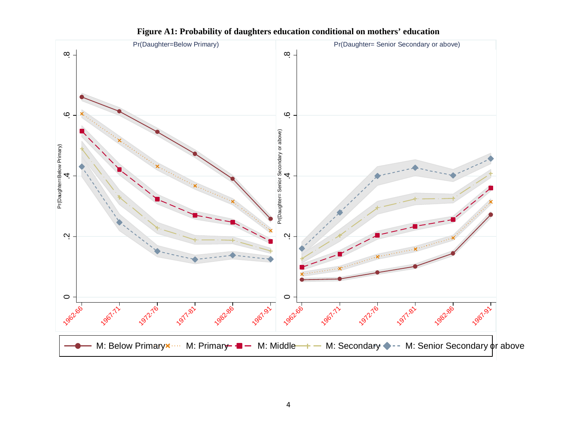

**Figure A1: Probability of daughters education conditional on mothers' education**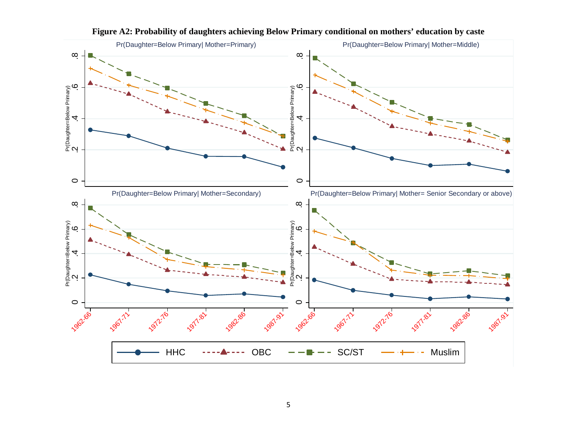

**Figure A2: Probability of daughters achieving Below Primary conditional on mothers' education by caste**